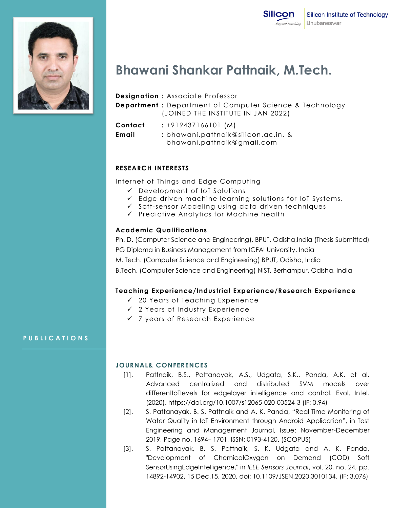

# **Bhawani Shankar Pattnaik, M.Tech.**

### **Designation :** Associate Professor

**Department :** Department of Computer Science & Technology (JOINED THE INSTITUTE IN JAN 2022)

**Contact :** +919437166101 (M)

**Email :** bhawani.pattnaik@silicon.ac.in, & bhawani.pattnaik@gmail.com

## **RESEARCH INTERESTS**

Internet of Things and Edge Computing

- Development of IoT Solutions
- $\checkmark$  Edge driven machine learning solutions for IoT Systems.
- $\checkmark$  Soft-sensor Modeling using data driven techniques
- $\checkmark$  Predictive Analytics for Machine health

## **Academic Qualifications**

Ph. D. (Computer Science and Engineering), BPUT, Odisha,India (Thesis Submitted) PG Diploma in Business Management from ICFAI University, India

M. Tech. (Computer Science and Engineering) BPUT, Odisha, India

B.Tech. (Computer Science and Engineering) NIST, Berhampur, Odisha, India

## **Teaching Experience/Industrial Experience/Research Experience**

- $\checkmark$  20 Years of Teaching Experience
- 2 Years of Industry Experience
- 7 years of Research Experience

## **P U B L I C A T I O N S**

### **JOURNAL& CONFERENCES**

- [1]. Pattnaik, B.S., Pattanayak, A.S., Udgata, S.K., Panda, A.K. et al. Advanced centralized and distributed SVM models over differentIoTlevels for edgelayer intelligence and control. Evol. Intel. (2020).<https://doi.org/10.1007/s12065-020-00524-3> (IF: 0.94)
- [2]. S. Pattanayak, B. S. Pattnaik and A. K. Panda, "Real Time Monitoring of Water Quality in IoT Environment through Android Application", in Test Engineering and Management Journal, Issue: November-December 2019, Page no. 1694– 1701, ISSN: 0193-4120. (SCOPUS)
- [3]. S. Pattanayak, B. S. Pattnaik, S. K. Udgata and A. K. Panda, "Development of ChemicalOxygen on Demand (COD) Soft SensorUsingEdgeIntelligence," in *IEEE Sensors Journal*, vol. 20, no. 24, pp. 14892-14902, 15 Dec.15, 2020, doi: 10.1109/JSEN.2020.3010134. (IF: 3.076)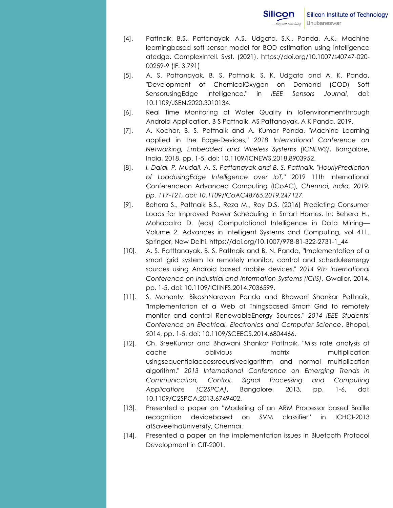- [4]. Pattnaik, B.S., Pattanayak, A.S., Udgata, S.K., Panda, A.K., Machine learningbased soft sensor model for BOD estimation using intelligence atedge. ComplexIntell. Syst. (2021). [https://doi.org/10.1007/s40747-020-](https://doi.org/10.1007/s40747-020-00259-9) [00259-9](https://doi.org/10.1007/s40747-020-00259-9) (IF: 3.791)
- [5]. A. S. Pattanayak, B. S. Pattnaik, S. K. Udgata and A. K. Panda, "Development of ChemicalOxygen on Demand (COD) Soft SensorusingEdge Intelligence," in *IEEE Sensors Journal*, doi: 10.1109/JSEN.2020.3010134.
- [6]. Real Time Monitoring of Water Quality in IoTenvironmentthrough Android Application, B S Pattnaik, AS Pattanayak, A K Panda, 2019.
- [7]. A. Kochar, B. S. Pattnaik and A. Kumar Panda, "Machine Learning applied in the Edge-Devices," *2018 International Conference on Networking, Embedded and Wireless Systems (ICNEWS)*, Bangalore, India, 2018, pp. 1-5, doi: 10.1109/ICNEWS.2018.8903952.
- [8]. *I. Dalai, P. Mudali, A. S. Pattanayak and B. S. Pattnaik, "HourlyPrediction of LoadusingEdge Intelligence over IoT,"* 2019 11th International Conferenceon Advanced Computing (ICoAC)*, Chennai, India, 2019, pp. 117-121, doi: 10.1109/ICoAC48765.2019.247127.*
- [9]. Behera S., Pattnaik B.S., Reza M., Roy D.S. (2016) Predicting Consumer Loads for Improved Power Scheduling in Smart Homes. In: Behera H., Mohapatra D. (eds) Computational Intelligence in Data Mining— Volume 2. Advances in Intelligent Systems and Computing, vol 411. Springer, New Delhi. https://doi.org/10.1007/978-81-322-2731-1\_44
- [10]. A. S. Patttanayak, B. S. Pattnaik and B. N. Panda, "Implementation of a smart grid system to remotely monitor, control and scheduleenergy sources using Android based mobile devices," *2014 9th International Conference on Industrial and Information Systems (ICIIS)*, Gwalior, 2014, pp. 1-5, doi: 10.1109/ICIINFS.2014.7036599.
- [11]. S. Mohanty, BikashNarayan Panda and Bhawani Shankar Pattnaik, "Implementation of a Web of Thingsbased Smart Grid to remotely monitor and control RenewableEnergy Sources," *2014 IEEE Students' Conference on Electrical, Electronics and Computer Science*, Bhopal, 2014, pp. 1-5, doi: 10.1109/SCEECS.2014.6804466.
- [12]. Ch. SreeKumar and Bhawani Shankar Pattnaik, "Miss rate analysis of cache oblivious matrix multiplication usingsequentialaccessrecursivealgorithm and normal multiplication algorithm," *2013 International Conference on Emerging Trends in Communication, Control, Signal Processing and Computing Applications (C2SPCA)*, Bangalore, 2013, pp. 1-6, doi: 10.1109/C2SPCA.2013.6749402.
- [13]. Presented a paper on "Modeling of an ARM Processor based Braille recognition devicebased on SVM classifier" in ICHCI-2013 atSaveethaUniversity, Chennai.
- [14]. Presented a paper on the implementation issues in Bluetooth Protocol Development in CIT-2001.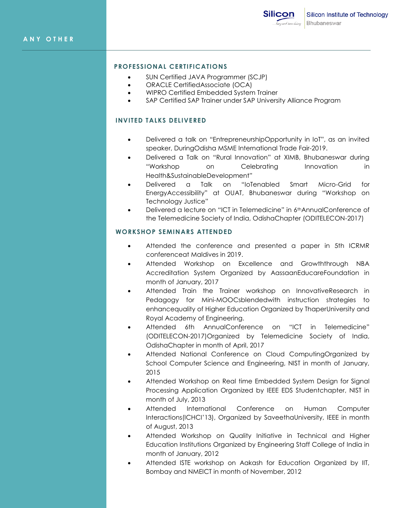### **PROFESSIONAL CERTIFICATIONS**

- SUN Certified JAVA Programmer (SCJP)
- ORACLE CertifiedAssociate (OCA)
- WIPRO Certified Embedded System Trainer
- SAP Certified SAP Trainer under SAP University Alliance Program

## **INVITED TALKS DELIVERED**

- Delivered a talk on "EntrepreneurshipOpportunity in IoT", as an invited speaker, DuringOdisha MSME International Trade Fair-2019.
- Delivered a Talk on "Rural Innovation" at XIMB, Bhubaneswar during ―Workshop on Celebrating Innovation in Health&SustainableDevelopment"
- Delivered a Talk on "IoTenabled Smart Micro-Grid for EnergyAccessibility" at OUAT, Bhubaneswar during "Workshop on Technology Justice"
- Delivered a lecture on "ICT in Telemedicine" in 6thAnnualConference of the Telemedicine Society of India, OdishaChapter (ODITELECON-2017)

#### **WORKSHOP SEMINARS ATTENDED**

- Attended the conference and presented a paper in 5th ICRMR conferenceat Maldives in 2019.
- Attended Workshop on Excellence and Growththrough NBA Accreditation System Organized by AassaanEducareFoundation in month of January, 2017
- Attended Train the Trainer workshop on InnovativeResearch in Pedagogy for Mini-MOOCsblendedwith instruction strategies to enhancequality of Higher Education Organized by ThaperUniversity and Royal Academy of Engineering.
- Attended 6th AnnualConference on "ICT in Telemedicine" (ODITELECON-2017)Organized by Telemedicine Society of India, OdishaChapter in month of April, 2017
- Attended National Conference on Cloud ComputingOrganized by School Computer Science and Engineering, NIST in month of January, 2015
- Attended Workshop on Real time Embedded System Design for Signal Processing Application Organized by IEEE EDS Studentchapter, NIST in month of July, 2013
- Attended International Conference on Human Computer Interactions(ICHCI'13), Organized by SaveethaUniversity, IEEE in month of August, 2013
- Attended Workshop on Quality Initiative in Technical and Higher Education Institutions Organized by Engineering Staff College of India in month of January, 2012
- Attended ISTE workshop on Aakash for Education Organized by IIT, Bombay and NMEICT in month of November, 2012